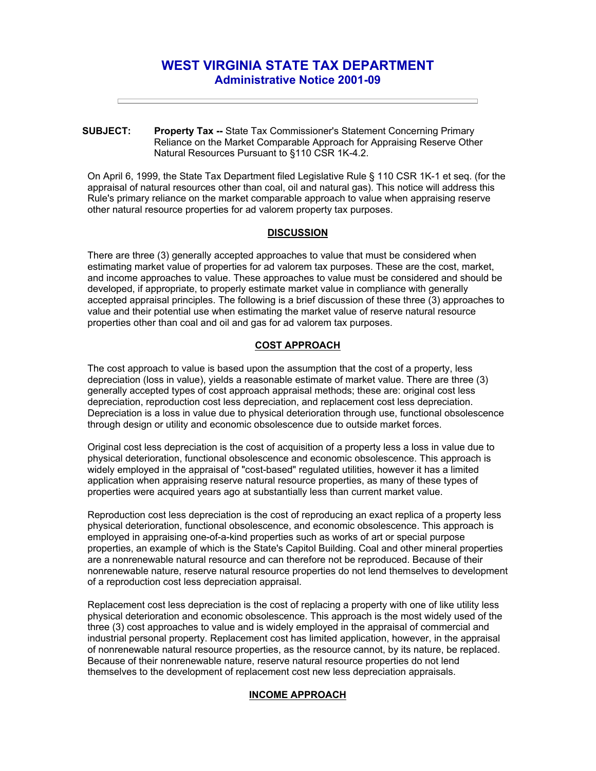# **WEST VIRGINIA STATE TAX DEPARTMENT Administrative Notice 2001-09**

**SUBJECT: Property Tax --** State Tax Commissioner's Statement Concerning Primary Reliance on the Market Comparable Approach for Appraising Reserve Other Natural Resources Pursuant to §110 CSR 1K-4.2.

On April 6, 1999, the State Tax Department filed Legislative Rule § 110 CSR 1K-1 et seq. (for the appraisal of natural resources other than coal, oil and natural gas). This notice will address this Rule's primary reliance on the market comparable approach to value when appraising reserve other natural resource properties for ad valorem property tax purposes.

## **DISCUSSION**

There are three (3) generally accepted approaches to value that must be considered when estimating market value of properties for ad valorem tax purposes. These are the cost, market, and income approaches to value. These approaches to value must be considered and should be developed, if appropriate, to properly estimate market value in compliance with generally accepted appraisal principles. The following is a brief discussion of these three (3) approaches to value and their potential use when estimating the market value of reserve natural resource properties other than coal and oil and gas for ad valorem tax purposes.

## **COST APPROACH**

The cost approach to value is based upon the assumption that the cost of a property, less depreciation (loss in value), yields a reasonable estimate of market value. There are three (3) generally accepted types of cost approach appraisal methods; these are: original cost less depreciation, reproduction cost less depreciation, and replacement cost less depreciation. Depreciation is a loss in value due to physical deterioration through use, functional obsolescence through design or utility and economic obsolescence due to outside market forces.

Original cost less depreciation is the cost of acquisition of a property less a loss in value due to physical deterioration, functional obsolescence and economic obsolescence. This approach is widely employed in the appraisal of "cost-based" regulated utilities, however it has a limited application when appraising reserve natural resource properties, as many of these types of properties were acquired years ago at substantially less than current market value.

Reproduction cost less depreciation is the cost of reproducing an exact replica of a property less physical deterioration, functional obsolescence, and economic obsolescence. This approach is employed in appraising one-of-a-kind properties such as works of art or special purpose properties, an example of which is the State's Capitol Building. Coal and other mineral properties are a nonrenewable natural resource and can therefore not be reproduced. Because of their nonrenewable nature, reserve natural resource properties do not lend themselves to development of a reproduction cost less depreciation appraisal.

Replacement cost less depreciation is the cost of replacing a property with one of like utility less physical deterioration and economic obsolescence. This approach is the most widely used of the three (3) cost approaches to value and is widely employed in the appraisal of commercial and industrial personal property. Replacement cost has limited application, however, in the appraisal of nonrenewable natural resource properties, as the resource cannot, by its nature, be replaced. Because of their nonrenewable nature, reserve natural resource properties do not lend themselves to the development of replacement cost new less depreciation appraisals.

### **INCOME APPROACH**